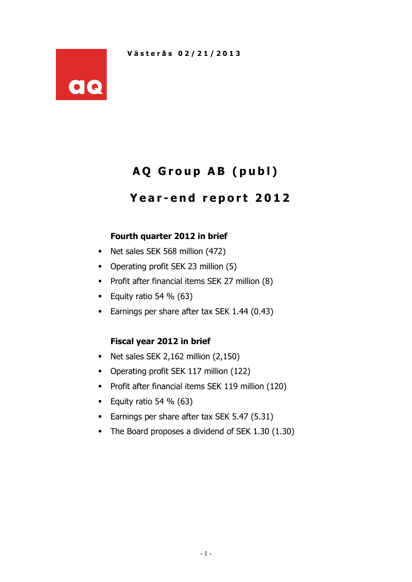

# **A Q G r o u p A B ( p u b l )**

## **Y e a r - e n d r e p o r t 2012**

## **Fourth quarter 2012 in brief**

- Net sales SEK 568 million (472)
- Operating profit SEK 23 million (5)
- **Profit after financial items SEK 27 million (8)**
- Equity ratio 54 %  $(63)$
- Earnings per share after tax SEK 1.44 (0.43)

#### **Fiscal year 2012 in brief**

- Net sales SEK 2,162 million  $(2,150)$
- Operating profit SEK 117 million (122)
- **Profit after financial items SEK 119 million (120)**
- Equity ratio 54 %  $(63)$
- **Earnings per share after tax SEK 5.47 (5.31)**
- The Board proposes a dividend of SEK 1.30 (1.30)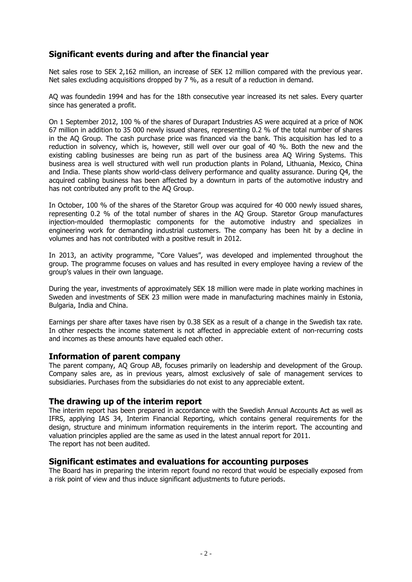### **Significant events during and after the financial year**

Net sales rose to SEK 2,162 million, an increase of SEK 12 million compared with the previous year. Net sales excluding acquisitions dropped by 7 %, as a result of a reduction in demand.

AQ was foundedin 1994 and has for the 18th consecutive year increased its net sales. Every quarter since has generated a profit.

On 1 September 2012, 100 % of the shares of Durapart Industries AS were acquired at a price of NOK 67 million in addition to 35 000 newly issued shares, representing 0.2 % of the total number of shares in the AQ Group. The cash purchase price was financed via the bank. This acquisition has led to a reduction in solvency, which is, however, still well over our goal of 40 %. Both the new and the existing cabling businesses are being run as part of the business area AQ Wiring Systems. This business area is well structured with well run production plants in Poland, Lithuania, Mexico, China and India. These plants show world-class delivery performance and quality assurance. During Q4, the acquired cabling business has been affected by a downturn in parts of the automotive industry and has not contributed any profit to the AQ Group.

In October, 100 % of the shares of the Staretor Group was acquired for 40 000 newly issued shares, representing 0.2 % of the total number of shares in the AQ Group. Staretor Group manufactures injection-moulded thermoplastic components for the automotive industry and specializes in engineering work for demanding industrial customers. The company has been hit by a decline in volumes and has not contributed with a positive result in 2012.

In 2013, an activity programme, "Core Values", was developed and implemented throughout the group. The programme focuses on values and has resulted in every employee having a review of the group's values in their own language.

During the year, investments of approximately SEK 18 million were made in plate working machines in Sweden and investments of SEK 23 million were made in manufacturing machines mainly in Estonia, Bulgaria, India and China.

Earnings per share after taxes have risen by 0.38 SEK as a result of a change in the Swedish tax rate. In other respects the income statement is not affected in appreciable extent of non-recurring costs and incomes as these amounts have equaled each other.

#### **Information of parent company**

The parent company, AQ Group AB, focuses primarily on leadership and development of the Group. Company sales are, as in previous years, almost exclusively of sale of management services to subsidiaries. Purchases from the subsidiaries do not exist to any appreciable extent.

#### **The drawing up of the interim report**

The interim report has been prepared in accordance with the Swedish Annual Accounts Act as well as IFRS, applying IAS 34, Interim Financial Reporting, which contains general requirements for the design, structure and minimum information requirements in the interim report. The accounting and valuation principles applied are the same as used in the latest annual report for 2011. The report has not been audited.

#### **Significant estimates and evaluations for accounting purposes**

The Board has in preparing the interim report found no record that would be especially exposed from a risk point of view and thus induce significant adjustments to future periods.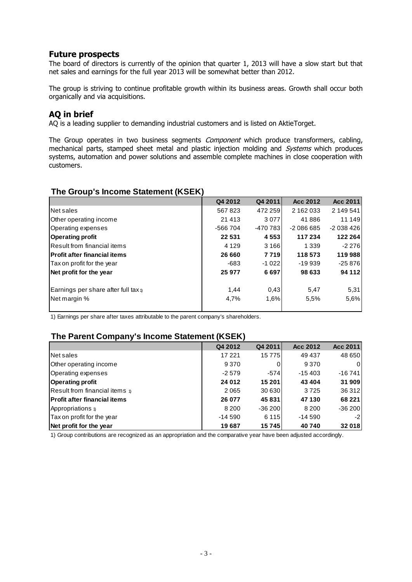#### **Future prospects**

The board of directors is currently of the opinion that quarter 1, 2013 will have a slow start but that net sales and earnings for the full year 2013 will be somewhat better than 2012.

The group is striving to continue profitable growth within its business areas. Growth shall occur both organically and via acquisitions.

## **AQ in brief**

AQ is a leading supplier to demanding industrial customers and is listed on AktieTorget.

The Group operates in two business segments *Component* which produce transformers, cabling, mechanical parts, stamped sheet metal and plastic injection molding and *Systems* which produces systems, automation and power solutions and assemble complete machines in close cooperation with customers.

## **Q4 2012 Q4 2011 Acc 2012 Acc 2011** Net sales 567 823 472 259 2 162 033 2 149 541 Other operating income 21 413 21 413 41 41 41 488 41 449 Operating expenses -566 704 -470 783 -2 086 685 -2 038 426 **Operating profit 22 531 4 553 117 234 122 264** Result from financial items **1998** 1 3166 1 339 -2 276 **Profit after financial items 26 660 7 719 118 573 119 988** Tax on profit for the year  $-683$  -1 022  $-19939$  -25 876 **Net profit for the year 25 977 6 697 98 633 94 112** Earnings per share after full tax  $\frac{1}{4}$  1,44 0,43 5,47 5,31 Net margin % 1,6% 1,6% 5,5% 5,6% 5,6% 5,6%

## **The Group's Income Statement (KSEK)**

1) Earnings per share after taxes attributable to the parent company's shareholders.

#### **The Parent Company's Income Statement (KSEK)**

|                                     | Q4 2012  | Q4 2011    | Acc 2012 | Acc 2011 |
|-------------------------------------|----------|------------|----------|----------|
| Net sales                           | 17 221   | 15 7 7 5 1 | 49 437   | 48 650   |
| Other operating income              | 9 3 7 0  |            | 9 3 7 0  | 0        |
| Operating expenses                  | $-2579$  | -5741      | $-15403$ | $-16741$ |
| <b>Operating profit</b>             | 24 012   | 15 201     | 43 4 04  | 31 909   |
| Result from financial items $\eta$  | 2065     | 30 630     | 3725     | 36 31 2  |
| <b>Profit after financial items</b> | 26 077   | 45831      | 47 130   | 68 2 21  |
| <b>Appropriations</b> 1)            | 8 2 0 0  | $-36200$   | 8 2 0 0  | $-36200$ |
| Tax on profit for the year          | $-14590$ | 6 1 1 5    | $-14590$ | $-2$     |
| Net profit for the year             | 19687    | 15745      | 40740    | 32 018   |

1) Group contributions are recognized as an appropriation and the comparative year have been adjusted accordingly.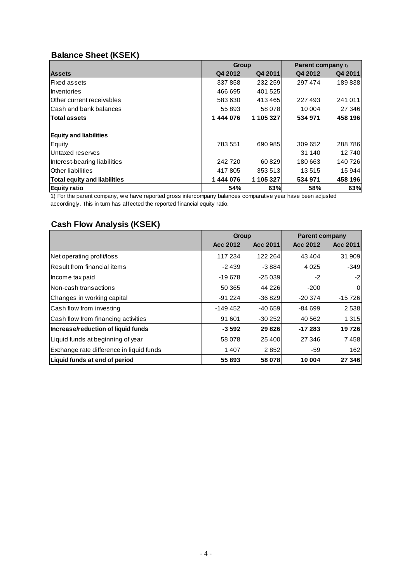## **Balance Sheet (KSEK)**

|                                                                                                             | Group   |           | <b>Parent company</b> 1) |         |  |
|-------------------------------------------------------------------------------------------------------------|---------|-----------|--------------------------|---------|--|
| <b>Assets</b>                                                                                               | Q4 2012 | Q4 2011   | Q4 2012                  | Q4 2011 |  |
| Fixed assets                                                                                                | 337858  | 232 259   | 297 474                  | 189838  |  |
| Inventories                                                                                                 | 466 695 | 401 525   |                          |         |  |
| Other current receivables                                                                                   | 583 630 | 413465    | 227493                   | 241 011 |  |
| Cash and bank balances                                                                                      | 55 893  | 58 078    | 10 004                   | 27 346  |  |
| <b>Total assets</b>                                                                                         | 1444076 | 1 105 327 | 534 971                  | 458 196 |  |
| <b>Equity and liabilities</b>                                                                               |         |           |                          |         |  |
| Equity                                                                                                      | 783 551 | 690 985   | 309 652                  | 288786  |  |
| Untaxed reserves                                                                                            |         |           | 31 140                   | 12740   |  |
| Interest-bearing liabilities                                                                                | 242720  | 60829     | 180 663                  | 140 726 |  |
| Other liabilities                                                                                           | 417805  | 353 513   | 13515                    | 15 944  |  |
| <b>Total equity and liabilities</b>                                                                         | 1444076 | 1 105 327 | 534 971                  | 458 196 |  |
| Equity ratio                                                                                                | 54%     | 63%       | 58%                      | 63%     |  |
| 1) For the parent company, we have reported gross intercompany balances comparative year have been adjusted |         |           |                          |         |  |
| accordingly. This in turn has affected the reported financial equity ratio.                                 |         |           |                          |         |  |

## **Cash Flow Analysis (KSEK)**

|                                          | Group    |          | <b>Parent company</b> |          |
|------------------------------------------|----------|----------|-----------------------|----------|
|                                          | Acc 2012 | Acc 2011 | Acc 2012              | Acc 2011 |
| Net operating profit/loss                | 117 234  | 122 264  | 43 4 04               | 31 909   |
| lResult from financial items             | $-2439$  | $-3884$  | 4 0 2 5               | $-349$   |
| Income tax paid                          | $-19678$ | -25 039  | $-2$                  | -2       |
| INon-cash transactions                   | 50 365   | 44 226   | $-200$                | 0        |
| Changes in working capital               | $-91224$ | $-36829$ | $-20374$              | $-15726$ |
| Cash flow from investing                 | -149 452 | $-40659$ | $-84699$              | 2538     |
| Cash flow from financing activities      | 91 601   | $-30252$ | 40 562                | 1 3 1 5  |
| Increase/reduction of liquid funds       | $-3592$  | 29826    | $-17283$              | 19726    |
| Liquid funds at beginning of year        | 58 078   | 25 400   | 27 346                | 7458     |
| Exchange rate difference in liquid funds | 1407     | 2852     | -59                   | 162      |
| Liquid funds at end of period            | 55893    | 58 078   | 10 004                | 27 346   |